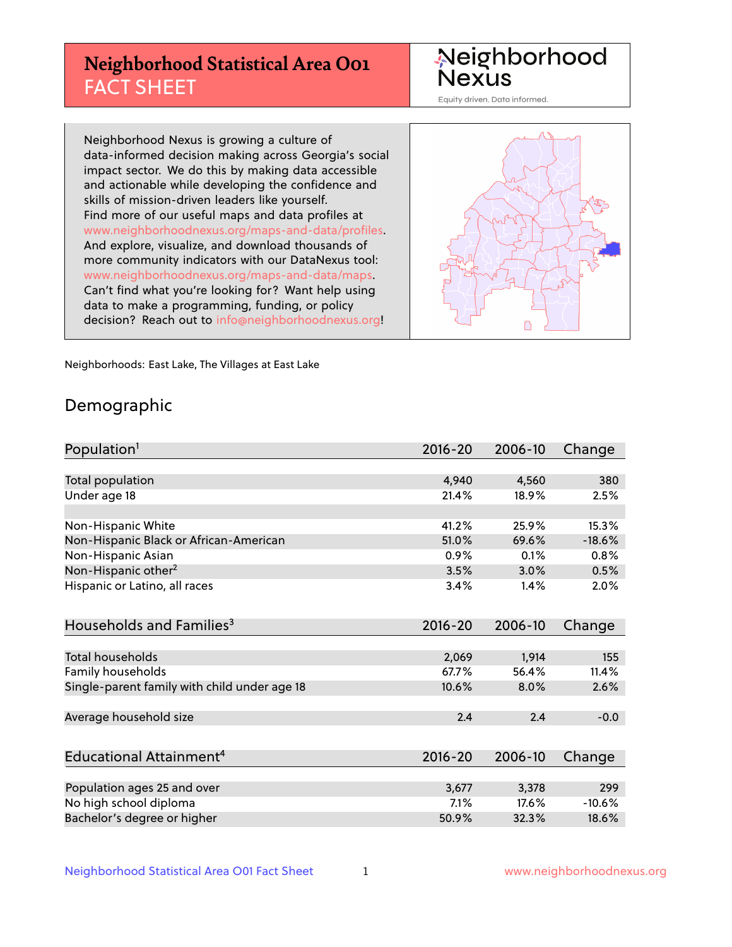# **Neighborhood Statistical Area O01** FACT SHEET

Neighborhood Nexus

Equity driven. Data informed.

Neighborhood Nexus is growing a culture of data-informed decision making across Georgia's social impact sector. We do this by making data accessible and actionable while developing the confidence and skills of mission-driven leaders like yourself. Find more of our useful maps and data profiles at www.neighborhoodnexus.org/maps-and-data/profiles. And explore, visualize, and download thousands of more community indicators with our DataNexus tool: www.neighborhoodnexus.org/maps-and-data/maps. Can't find what you're looking for? Want help using data to make a programming, funding, or policy decision? Reach out to [info@neighborhoodnexus.org!](mailto:info@neighborhoodnexus.org)



Neighborhoods: East Lake, The Villages at East Lake

### Demographic

| Population <sup>1</sup>                      | 2016-20     | 2006-10 | Change   |
|----------------------------------------------|-------------|---------|----------|
|                                              |             |         |          |
| Total population                             | 4,940       | 4,560   | 380      |
| Under age 18                                 | 21.4%       | 18.9%   | 2.5%     |
|                                              |             |         |          |
| Non-Hispanic White                           | 41.2%       | 25.9%   | 15.3%    |
| Non-Hispanic Black or African-American       | 51.0%       | 69.6%   | $-18.6%$ |
| Non-Hispanic Asian                           | 0.9%        | 0.1%    | 0.8%     |
| Non-Hispanic other <sup>2</sup>              | 3.5%        | 3.0%    | 0.5%     |
| Hispanic or Latino, all races                | 3.4%        | 1.4%    | 2.0%     |
|                                              |             |         |          |
| Households and Families <sup>3</sup>         | $2016 - 20$ | 2006-10 | Change   |
|                                              |             |         |          |
| <b>Total households</b>                      | 2,069       | 1,914   | 155      |
| Family households                            | 67.7%       | 56.4%   | 11.4%    |
| Single-parent family with child under age 18 | 10.6%       | 8.0%    | 2.6%     |
|                                              |             |         |          |
| Average household size                       | 2.4         | 2.4     | $-0.0$   |
|                                              |             |         |          |
| Educational Attainment <sup>4</sup>          | $2016 - 20$ | 2006-10 | Change   |
|                                              |             |         |          |
| Population ages 25 and over                  | 3,677       | 3,378   | 299      |
| No high school diploma                       | 7.1%        | 17.6%   | $-10.6%$ |
| Bachelor's degree or higher                  | 50.9%       | 32.3%   | 18.6%    |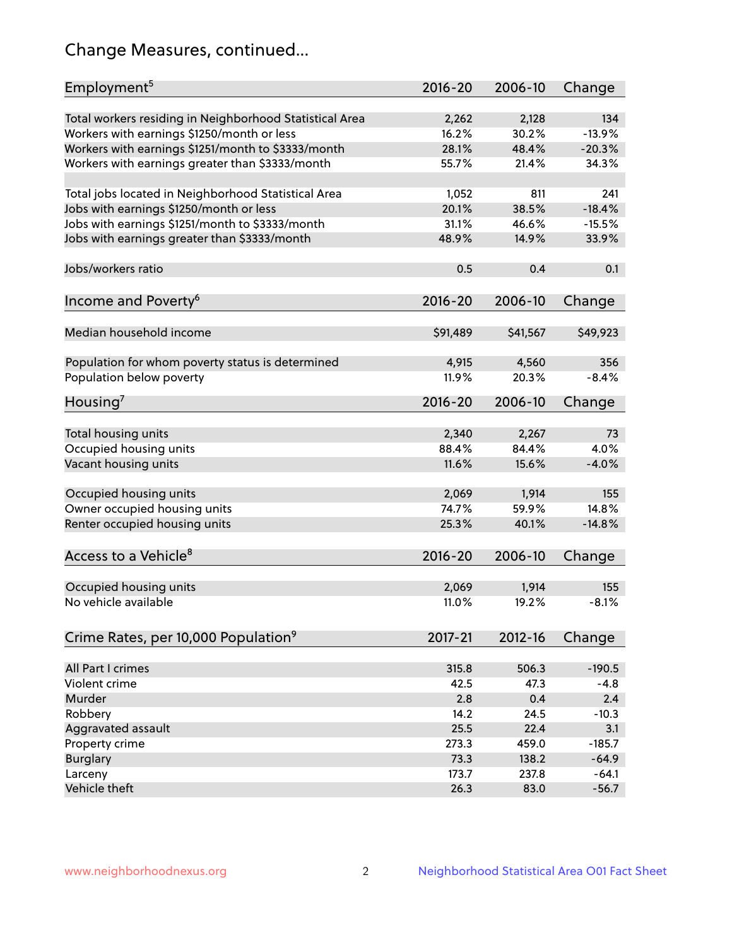# Change Measures, continued...

| Employment <sup>5</sup>                                                                               | $2016 - 20$    | 2006-10        | Change          |
|-------------------------------------------------------------------------------------------------------|----------------|----------------|-----------------|
|                                                                                                       |                |                |                 |
| Total workers residing in Neighborhood Statistical Area                                               | 2,262<br>16.2% | 2,128<br>30.2% | 134<br>$-13.9%$ |
| Workers with earnings \$1250/month or less                                                            | 28.1%          | 48.4%          | $-20.3%$        |
| Workers with earnings \$1251/month to \$3333/month<br>Workers with earnings greater than \$3333/month | 55.7%          | 21.4%          | 34.3%           |
|                                                                                                       |                |                |                 |
| Total jobs located in Neighborhood Statistical Area                                                   | 1,052          | 811            | 241             |
| Jobs with earnings \$1250/month or less                                                               | 20.1%          | 38.5%          | $-18.4%$        |
| Jobs with earnings \$1251/month to \$3333/month                                                       | 31.1%          | 46.6%          | $-15.5%$        |
| Jobs with earnings greater than \$3333/month                                                          | 48.9%          | 14.9%          | 33.9%           |
|                                                                                                       |                |                |                 |
| Jobs/workers ratio                                                                                    | 0.5            | 0.4            | 0.1             |
|                                                                                                       |                |                |                 |
| Income and Poverty <sup>6</sup>                                                                       | 2016-20        | 2006-10        | Change          |
|                                                                                                       |                |                |                 |
| Median household income                                                                               | \$91,489       | \$41,567       | \$49,923        |
|                                                                                                       |                |                |                 |
| Population for whom poverty status is determined                                                      | 4,915          | 4,560          | 356             |
| Population below poverty                                                                              | 11.9%          | 20.3%          | $-8.4%$         |
|                                                                                                       |                |                |                 |
| Housing <sup>7</sup>                                                                                  | $2016 - 20$    | 2006-10        | Change          |
|                                                                                                       |                |                |                 |
| Total housing units                                                                                   | 2,340          | 2,267          | 73              |
| Occupied housing units                                                                                | 88.4%          | 84.4%          | 4.0%            |
| Vacant housing units                                                                                  | 11.6%          | 15.6%          | $-4.0%$         |
|                                                                                                       |                |                |                 |
| Occupied housing units                                                                                | 2,069          | 1,914          | 155             |
| Owner occupied housing units                                                                          | 74.7%          | 59.9%          | 14.8%           |
| Renter occupied housing units                                                                         | 25.3%          | 40.1%          | $-14.8%$        |
|                                                                                                       |                |                |                 |
| Access to a Vehicle <sup>8</sup>                                                                      | $2016 - 20$    | 2006-10        | Change          |
|                                                                                                       |                |                |                 |
| Occupied housing units                                                                                | 2,069          | 1,914          | 155             |
| No vehicle available                                                                                  | 11.0%          | 19.2%          | $-8.1%$         |
|                                                                                                       |                |                |                 |
| Crime Rates, per 10,000 Population <sup>9</sup>                                                       | 2017-21        | 2012-16        | Change          |
|                                                                                                       |                |                |                 |
| All Part I crimes                                                                                     | 315.8          | 506.3          | $-190.5$        |
| Violent crime                                                                                         | 42.5           | 47.3           | $-4.8$          |
| Murder                                                                                                | 2.8            | 0.4            | 2.4             |
| Robbery                                                                                               | 14.2           | 24.5           | $-10.3$         |
| Aggravated assault                                                                                    | 25.5           | 22.4           | 3.1             |
| Property crime                                                                                        | 273.3          | 459.0          | $-185.7$        |
| <b>Burglary</b>                                                                                       | 73.3           | 138.2          | $-64.9$         |
| Larceny                                                                                               | 173.7          | 237.8          | $-64.1$         |
| Vehicle theft                                                                                         | 26.3           | 83.0           | $-56.7$         |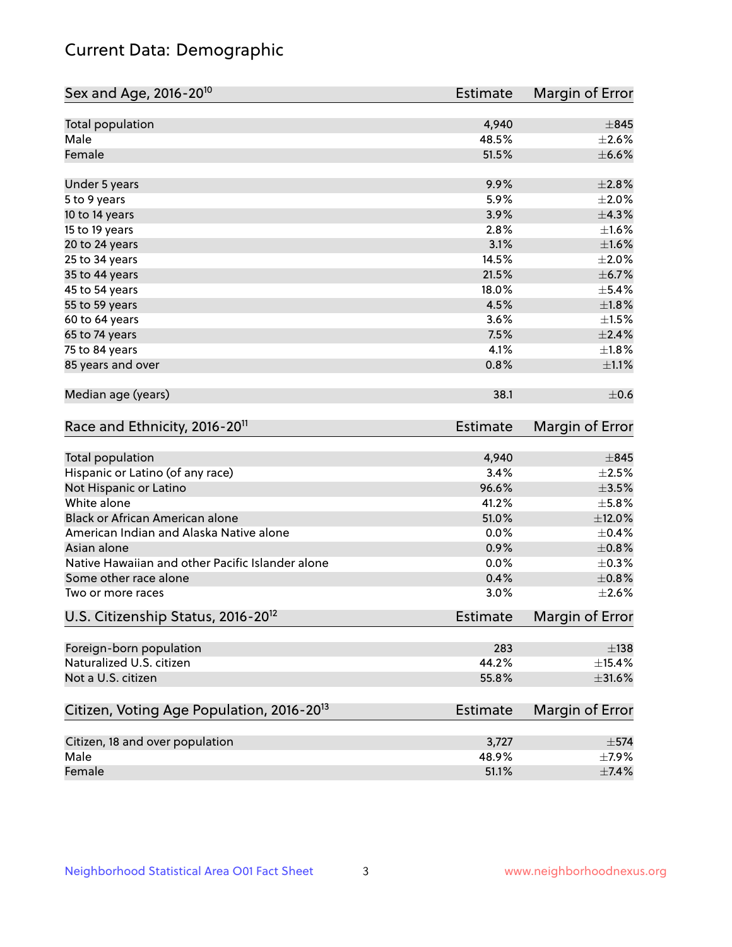# Current Data: Demographic

| Sex and Age, 2016-20 <sup>10</sup>                    | <b>Estimate</b> | Margin of Error |
|-------------------------------------------------------|-----------------|-----------------|
| Total population                                      | 4,940           | $\pm$ 845       |
| Male                                                  | 48.5%           | $\pm 2.6\%$     |
| Female                                                | 51.5%           | $\pm$ 6.6%      |
| Under 5 years                                         | 9.9%            | ±2.8%           |
| 5 to 9 years                                          | 5.9%            | $\pm 2.0\%$     |
| 10 to 14 years                                        | 3.9%            | ±4.3%           |
| 15 to 19 years                                        | 2.8%            | $\pm 1.6\%$     |
| 20 to 24 years                                        | 3.1%            | $\pm1.6\%$      |
| 25 to 34 years                                        | 14.5%           | $\pm 2.0\%$     |
| 35 to 44 years                                        | 21.5%           | $\pm$ 6.7%      |
| 45 to 54 years                                        | 18.0%           | $\pm$ 5.4%      |
| 55 to 59 years                                        | 4.5%            | $\pm1.8\%$      |
| 60 to 64 years                                        | 3.6%            | $\pm 1.5\%$     |
| 65 to 74 years                                        | 7.5%            | $\pm 2.4\%$     |
| 75 to 84 years                                        | 4.1%            | $\pm1.8\%$      |
| 85 years and over                                     | 0.8%            | $\pm 1.1\%$     |
| Median age (years)                                    | 38.1            | $\pm$ 0.6       |
| Race and Ethnicity, 2016-20 <sup>11</sup>             | <b>Estimate</b> | Margin of Error |
| Total population                                      | 4,940           | $\pm$ 845       |
| Hispanic or Latino (of any race)                      | 3.4%            | $\pm 2.5\%$     |
| Not Hispanic or Latino                                | 96.6%           | $\pm$ 3.5%      |
| White alone                                           | 41.2%           | $\pm$ 5.8%      |
| Black or African American alone                       | 51.0%           | $\pm$ 12.0%     |
| American Indian and Alaska Native alone               | 0.0%            | $\pm$ 0.4%      |
| Asian alone                                           | 0.9%            | $\pm 0.8\%$     |
| Native Hawaiian and other Pacific Islander alone      | 0.0%            | $\pm$ 0.3%      |
| Some other race alone                                 | 0.4%            | $\pm 0.8\%$     |
| Two or more races                                     | 3.0%            | $\pm 2.6\%$     |
| U.S. Citizenship Status, 2016-20 <sup>12</sup>        | <b>Estimate</b> | Margin of Error |
| Foreign-born population                               | 283             | $\pm$ 138       |
| Naturalized U.S. citizen                              | 44.2%           | $\pm$ 15.4%     |
| Not a U.S. citizen                                    | 55.8%           | $\pm$ 31.6%     |
| Citizen, Voting Age Population, 2016-20 <sup>13</sup> | <b>Estimate</b> | Margin of Error |
| Citizen, 18 and over population                       |                 |                 |
| Male                                                  | 3,727<br>48.9%  | $\pm$ 574       |
|                                                       |                 | $\pm$ 7.9%      |
| Female                                                | 51.1%           | $\pm$ 7.4%      |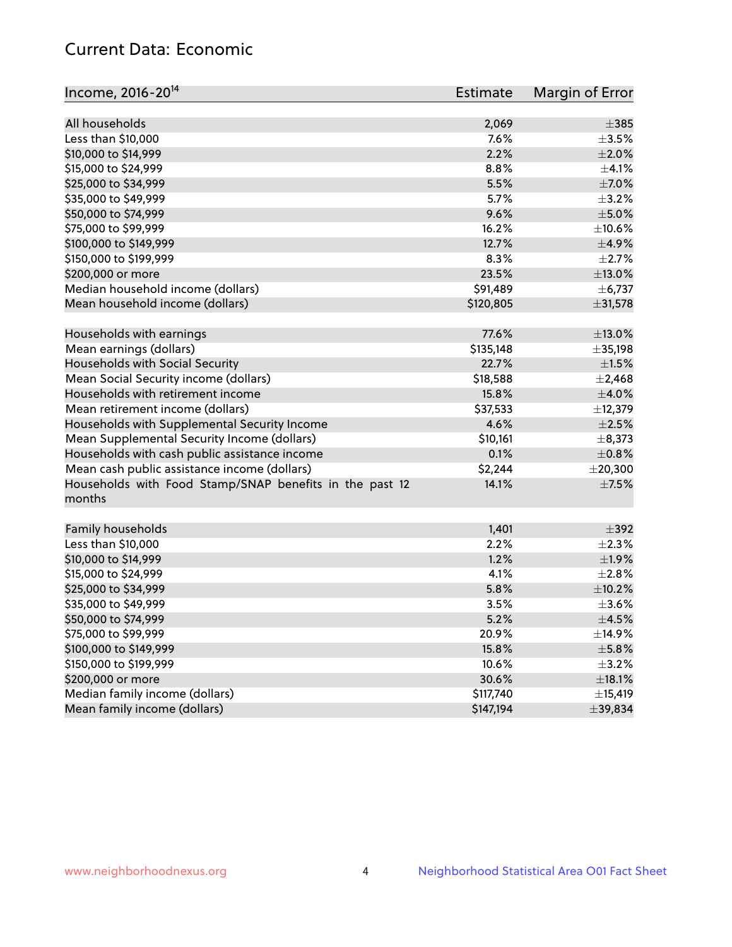# Current Data: Economic

| Income, 2016-20 <sup>14</sup>                           | <b>Estimate</b> | Margin of Error |
|---------------------------------------------------------|-----------------|-----------------|
| All households                                          |                 | $\pm$ 385       |
|                                                         | 2,069<br>7.6%   |                 |
| Less than \$10,000                                      |                 | $\pm$ 3.5%      |
| \$10,000 to \$14,999                                    | 2.2%            | $\pm 2.0\%$     |
| \$15,000 to \$24,999                                    | 8.8%            | $\pm 4.1\%$     |
| \$25,000 to \$34,999                                    | 5.5%            | $\pm$ 7.0%      |
| \$35,000 to \$49,999                                    | 5.7%            | $\pm$ 3.2%      |
| \$50,000 to \$74,999                                    | 9.6%            | $\pm$ 5.0%      |
| \$75,000 to \$99,999                                    | 16.2%           | ±10.6%          |
| \$100,000 to \$149,999                                  | 12.7%           | $\pm$ 4.9%      |
| \$150,000 to \$199,999                                  | 8.3%            | $\pm$ 2.7%      |
| \$200,000 or more                                       | 23.5%           | $\pm$ 13.0%     |
| Median household income (dollars)                       | \$91,489        | $\pm$ 6,737     |
| Mean household income (dollars)                         | \$120,805       | ±31,578         |
| Households with earnings                                | 77.6%           | $\pm$ 13.0%     |
| Mean earnings (dollars)                                 | \$135,148       | ±35,198         |
| Households with Social Security                         | 22.7%           | $\pm 1.5\%$     |
| Mean Social Security income (dollars)                   | \$18,588        | $\pm 2,468$     |
| Households with retirement income                       | 15.8%           | $\pm 4.0\%$     |
| Mean retirement income (dollars)                        | \$37,533        | ±12,379         |
| Households with Supplemental Security Income            | 4.6%            | $\pm 2.5\%$     |
| Mean Supplemental Security Income (dollars)             | \$10,161        | $\pm$ 8,373     |
| Households with cash public assistance income           | 0.1%            | $\pm$ 0.8%      |
| Mean cash public assistance income (dollars)            | \$2,244         | $±$ 20,300      |
| Households with Food Stamp/SNAP benefits in the past 12 | 14.1%           | $\pm$ 7.5%      |
| months                                                  |                 |                 |
| Family households                                       | 1,401           | $\pm$ 392       |
| Less than \$10,000                                      | 2.2%            | $\pm 2.3\%$     |
| \$10,000 to \$14,999                                    | 1.2%            | ±1.9%           |
|                                                         | 4.1%            | $\pm 2.8\%$     |
| \$15,000 to \$24,999                                    |                 |                 |
| \$25,000 to \$34,999                                    | 5.8%            | $\pm$ 10.2%     |
| \$35,000 to \$49,999                                    | 3.5%            | $\pm 3.6\%$     |
| \$50,000 to \$74,999                                    | 5.2%            | $\pm$ 4.5%      |
| \$75,000 to \$99,999                                    | 20.9%           | ±14.9%          |
| \$100,000 to \$149,999                                  | 15.8%           | $\pm$ 5.8%      |
| \$150,000 to \$199,999                                  | 10.6%           | $\pm$ 3.2%      |
| \$200,000 or more                                       | 30.6%           | $\pm$ 18.1%     |
| Median family income (dollars)                          | \$117,740       | ±15,419         |
| Mean family income (dollars)                            | \$147,194       | ±39,834         |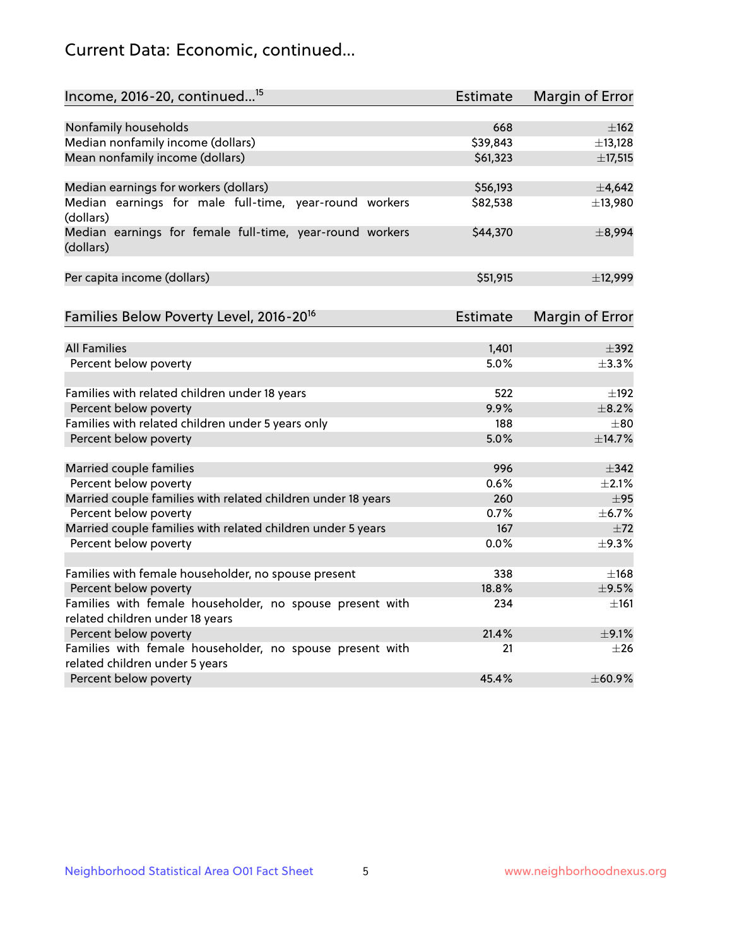# Current Data: Economic, continued...

| Income, 2016-20, continued <sup>15</sup>                              | <b>Estimate</b> | <b>Margin of Error</b> |
|-----------------------------------------------------------------------|-----------------|------------------------|
|                                                                       |                 |                        |
| Nonfamily households                                                  | 668             | $\pm$ 162              |
| Median nonfamily income (dollars)                                     | \$39,843        | ±13,128                |
| Mean nonfamily income (dollars)                                       | \$61,323        | ±17,515                |
| Median earnings for workers (dollars)                                 | \$56,193        | $\pm$ 4,642            |
| Median earnings for male full-time, year-round workers                | \$82,538        | ±13,980                |
| (dollars)                                                             |                 |                        |
| Median earnings for female full-time, year-round workers<br>(dollars) | \$44,370        | ±8,994                 |
| Per capita income (dollars)                                           | \$51,915        | ±12,999                |
|                                                                       |                 |                        |
| Families Below Poverty Level, 2016-20 <sup>16</sup>                   | <b>Estimate</b> | <b>Margin of Error</b> |
|                                                                       |                 |                        |
| <b>All Families</b>                                                   | 1,401           | $\pm$ 392              |
| Percent below poverty                                                 | 5.0%            | ±3.3%                  |
| Families with related children under 18 years                         | 522             | $\pm$ 192              |
| Percent below poverty                                                 | 9.9%            | $\pm$ 8.2%             |
| Families with related children under 5 years only                     | 188             | $\pm$ 80               |
| Percent below poverty                                                 | 5.0%            | ±14.7%                 |
| Married couple families                                               | 996             | $\pm$ 342              |
| Percent below poverty                                                 | 0.6%            | $\pm 2.1\%$            |
| Married couple families with related children under 18 years          | 260             | $\pm$ 95               |
| Percent below poverty                                                 | 0.7%            | ±6.7%                  |
| Married couple families with related children under 5 years           | 167             | ±72                    |
| Percent below poverty                                                 | $0.0\%$         | ±9.3%                  |
| Families with female householder, no spouse present                   | 338             | $\pm$ 168              |
| Percent below poverty                                                 | 18.8%           | $\pm$ 9.5%             |
| Families with female householder, no spouse present with              | 234             | $\pm 161$              |
| related children under 18 years                                       |                 |                        |
| Percent below poverty                                                 | 21.4%           | $\pm$ 9.1%             |
| Families with female householder, no spouse present with              | 21              | $\pm 26$               |
| related children under 5 years                                        |                 |                        |
| Percent below poverty                                                 | 45.4%           | ±60.9%                 |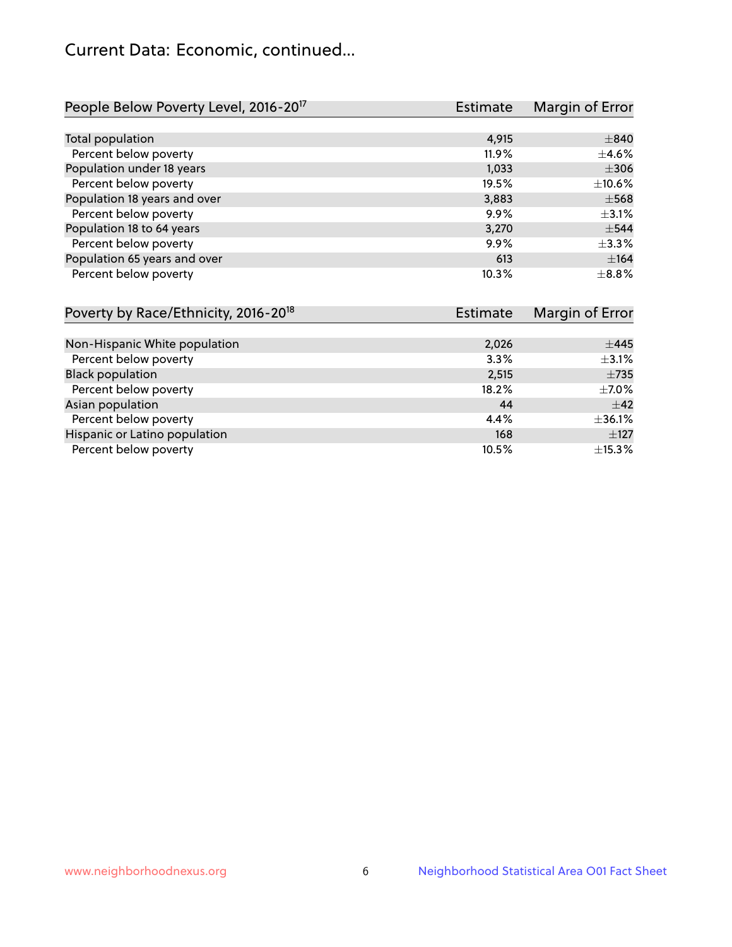# Current Data: Economic, continued...

| People Below Poverty Level, 2016-20 <sup>17</sup> | <b>Estimate</b> | Margin of Error |
|---------------------------------------------------|-----------------|-----------------|
|                                                   |                 |                 |
| Total population                                  | 4,915           | $\pm 840$       |
| Percent below poverty                             | $11.9\%$        | $\pm$ 4.6%      |
| Population under 18 years                         | 1,033           | $\pm$ 306       |
| Percent below poverty                             | 19.5%           | $\pm 10.6\%$    |
| Population 18 years and over                      | 3,883           | $\pm$ 568       |
| Percent below poverty                             | 9.9%            | $\pm$ 3.1%      |
| Population 18 to 64 years                         | 3,270           | $\pm$ 544       |
| Percent below poverty                             | 9.9%            | ±3.3%           |
| Population 65 years and over                      | 613             | ±164            |
| Percent below poverty                             | 10.3%           | $\pm$ 8.8%      |

| Poverty by Race/Ethnicity, 2016-20 <sup>18</sup> | Estimate | Margin of Error |
|--------------------------------------------------|----------|-----------------|
|                                                  |          |                 |
| Non-Hispanic White population                    | 2,026    | $\pm 445$       |
| Percent below poverty                            | 3.3%     | $\pm$ 3.1%      |
| <b>Black population</b>                          | 2,515    | $\pm 735$       |
| Percent below poverty                            | 18.2%    | $\pm$ 7.0%      |
| Asian population                                 | 44       | ±42             |
| Percent below poverty                            | 4.4%     | ±36.1%          |
| Hispanic or Latino population                    | 168      | $\pm$ 127       |
| Percent below poverty                            | 10.5%    | ±15.3%          |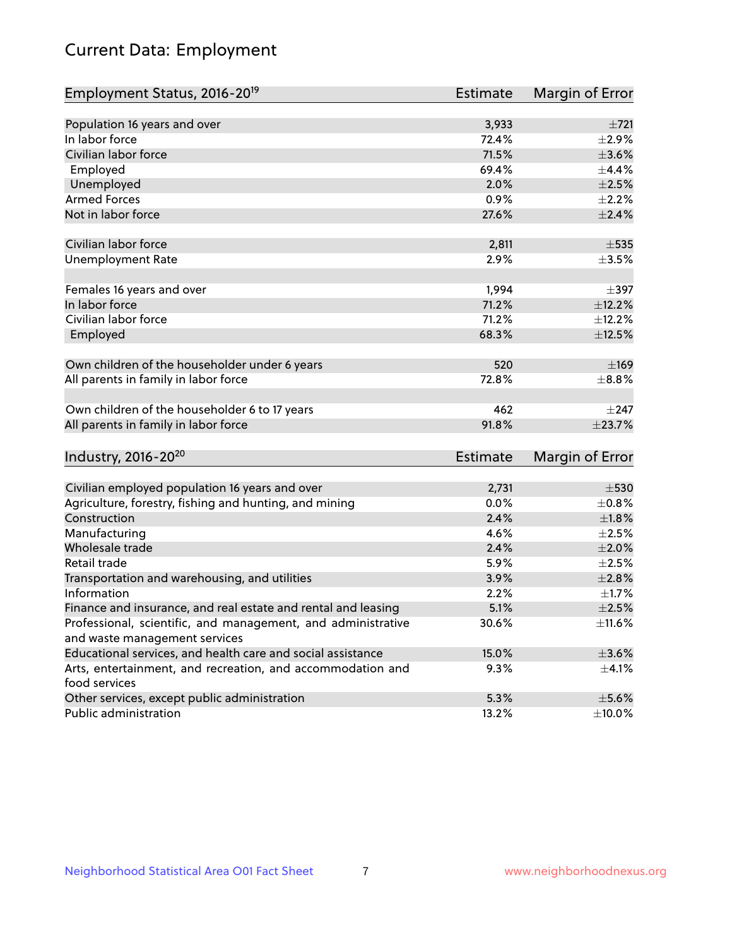# Current Data: Employment

| Employment Status, 2016-20 <sup>19</sup>                                    | <b>Estimate</b> | Margin of Error |
|-----------------------------------------------------------------------------|-----------------|-----------------|
|                                                                             |                 |                 |
| Population 16 years and over                                                | 3,933           | ±721            |
| In labor force                                                              | 72.4%           | $\pm 2.9\%$     |
| Civilian labor force                                                        | 71.5%           | $\pm 3.6\%$     |
| Employed                                                                    | 69.4%           | ±4.4%           |
| Unemployed                                                                  | 2.0%            | $\pm 2.5\%$     |
| <b>Armed Forces</b>                                                         | 0.9%            | $\pm 2.2\%$     |
| Not in labor force                                                          | 27.6%           | $\pm 2.4\%$     |
| Civilian labor force                                                        | 2,811           | $\pm$ 535       |
| <b>Unemployment Rate</b>                                                    | 2.9%            | $\pm$ 3.5%      |
| Females 16 years and over                                                   | 1,994           | $\pm$ 397       |
| In labor force                                                              | 71.2%           | ±12.2%          |
| Civilian labor force                                                        | 71.2%           | ±12.2%          |
| Employed                                                                    | 68.3%           | $\pm$ 12.5%     |
| Own children of the householder under 6 years                               | 520             | $\pm 169$       |
| All parents in family in labor force                                        | 72.8%           | $\pm$ 8.8%      |
|                                                                             |                 |                 |
| Own children of the householder 6 to 17 years                               | 462             | $\pm$ 247       |
| All parents in family in labor force                                        | 91.8%           | ±23.7%          |
| Industry, 2016-20 <sup>20</sup>                                             | <b>Estimate</b> | Margin of Error |
|                                                                             |                 |                 |
| Civilian employed population 16 years and over                              | 2,731           | $\pm$ 530       |
| Agriculture, forestry, fishing and hunting, and mining                      | 0.0%            | $\pm$ 0.8%      |
| Construction                                                                | 2.4%            | $\pm1.8\%$      |
| Manufacturing                                                               | 4.6%            | $\pm 2.5\%$     |
| Wholesale trade                                                             | 2.4%            | $\pm 2.0\%$     |
| Retail trade                                                                | 5.9%            | $\pm 2.5\%$     |
| Transportation and warehousing, and utilities                               | 3.9%            | ±2.8%           |
| Information                                                                 | 2.2%            | $\pm1.7\%$      |
| Finance and insurance, and real estate and rental and leasing               | 5.1%            | $\pm 2.5\%$     |
| Professional, scientific, and management, and administrative                | 30.6%           | $\pm$ 11.6%     |
| and waste management services                                               |                 |                 |
| Educational services, and health care and social assistance                 | 15.0%           | $\pm 3.6\%$     |
| Arts, entertainment, and recreation, and accommodation and<br>food services | 9.3%            | $\pm$ 4.1%      |
| Other services, except public administration                                | 5.3%            | $\pm$ 5.6%      |
| Public administration                                                       | 13.2%           | $\pm$ 10.0%     |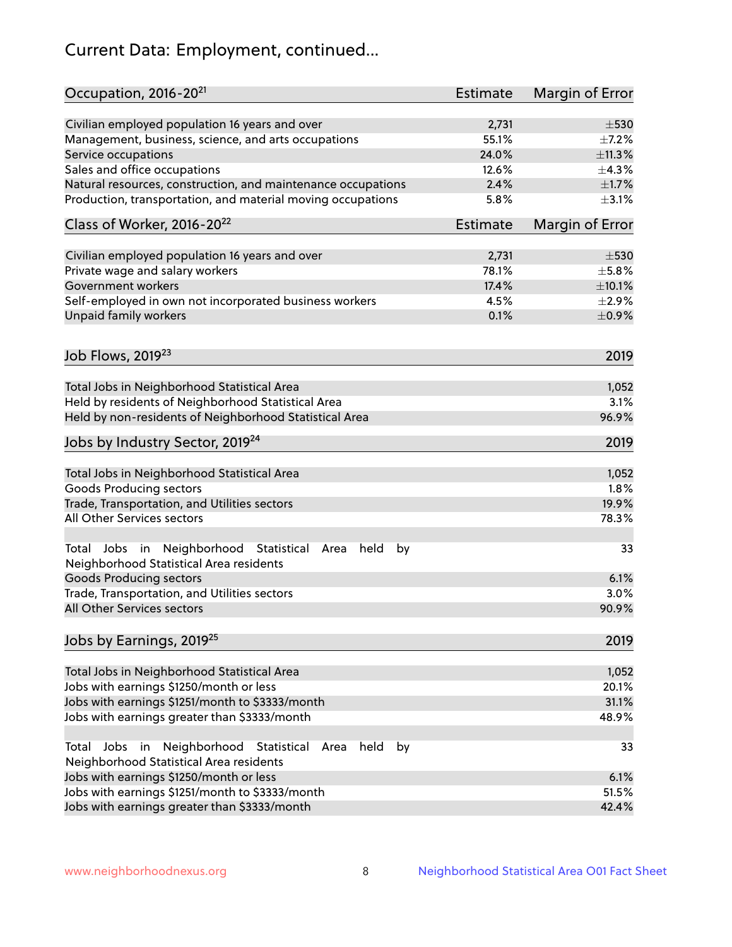# Current Data: Employment, continued...

| Occupation, 2016-20 <sup>21</sup>                                                                                | <b>Estimate</b> | Margin of Error |
|------------------------------------------------------------------------------------------------------------------|-----------------|-----------------|
| Civilian employed population 16 years and over                                                                   | 2,731           | $\pm$ 530       |
| Management, business, science, and arts occupations                                                              | 55.1%           | $\pm$ 7.2%      |
| Service occupations                                                                                              | 24.0%           | ±11.3%          |
| Sales and office occupations                                                                                     | 12.6%           | ±4.3%           |
| Natural resources, construction, and maintenance occupations                                                     | 2.4%            | $\pm$ 1.7%      |
| Production, transportation, and material moving occupations                                                      | 5.8%            | $\pm$ 3.1%      |
| Class of Worker, 2016-20 <sup>22</sup>                                                                           | Estimate        | Margin of Error |
| Civilian employed population 16 years and over                                                                   | 2,731           | $\pm$ 530       |
| Private wage and salary workers                                                                                  | 78.1%           | $\pm$ 5.8%      |
| Government workers                                                                                               | 17.4%           | ±10.1%          |
| Self-employed in own not incorporated business workers                                                           | 4.5%            | $\pm 2.9\%$     |
| Unpaid family workers                                                                                            | 0.1%            | $\pm$ 0.9%      |
|                                                                                                                  |                 |                 |
| Job Flows, 2019 <sup>23</sup>                                                                                    |                 | 2019            |
| Total Jobs in Neighborhood Statistical Area                                                                      |                 | 1,052           |
| Held by residents of Neighborhood Statistical Area                                                               |                 | 3.1%            |
| Held by non-residents of Neighborhood Statistical Area                                                           |                 | 96.9%           |
|                                                                                                                  |                 |                 |
| Jobs by Industry Sector, 2019 <sup>24</sup>                                                                      |                 | 2019            |
| Total Jobs in Neighborhood Statistical Area                                                                      |                 | 1,052           |
| <b>Goods Producing sectors</b>                                                                                   |                 | 1.8%            |
| Trade, Transportation, and Utilities sectors                                                                     |                 | 19.9%           |
| All Other Services sectors                                                                                       |                 | 78.3%           |
| Total Jobs in Neighborhood Statistical<br>held<br>by<br>Area<br>Neighborhood Statistical Area residents          |                 | 33              |
| <b>Goods Producing sectors</b>                                                                                   |                 | 6.1%            |
| Trade, Transportation, and Utilities sectors                                                                     |                 | 3.0%            |
| All Other Services sectors                                                                                       |                 | 90.9%           |
| Jobs by Earnings, 2019 <sup>25</sup>                                                                             |                 | 2019            |
| Total Jobs in Neighborhood Statistical Area                                                                      |                 | 1,052           |
| Jobs with earnings \$1250/month or less                                                                          |                 | 20.1%           |
| Jobs with earnings \$1251/month to \$3333/month                                                                  |                 | 31.1%           |
| Jobs with earnings greater than \$3333/month                                                                     |                 | 48.9%           |
| Neighborhood Statistical<br>Jobs<br>in<br>held<br>by<br>Total<br>Area<br>Neighborhood Statistical Area residents |                 | 33              |
| Jobs with earnings \$1250/month or less                                                                          |                 | 6.1%            |
| Jobs with earnings \$1251/month to \$3333/month                                                                  |                 | 51.5%           |
| Jobs with earnings greater than \$3333/month                                                                     |                 | 42.4%           |
|                                                                                                                  |                 |                 |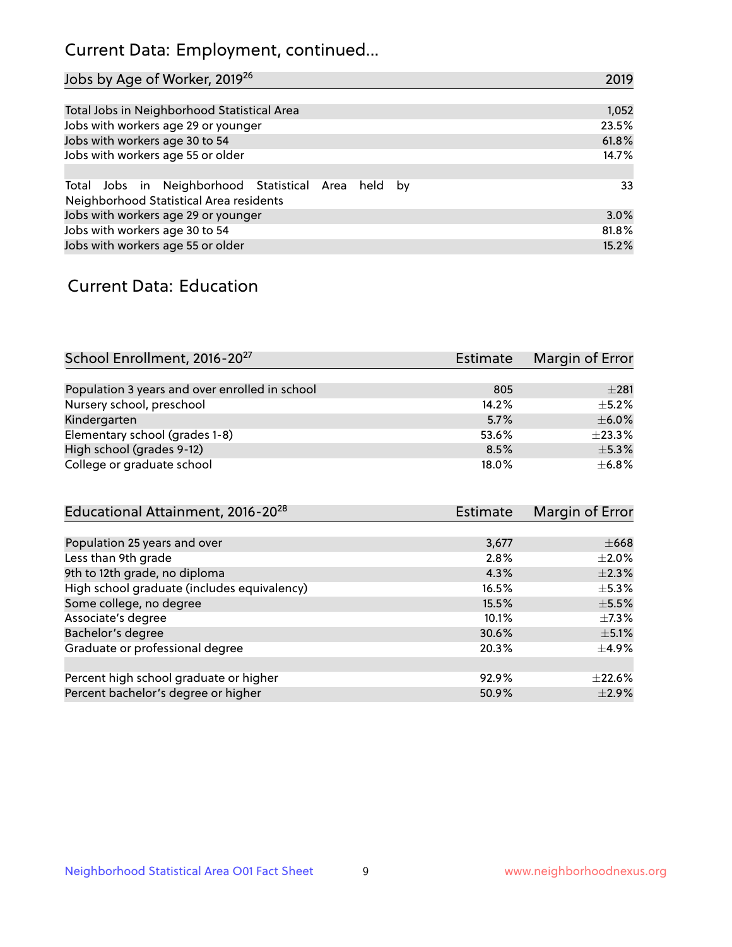# Current Data: Employment, continued...

| Jobs by Age of Worker, 2019 <sup>26</sup>                                                      | 2019  |
|------------------------------------------------------------------------------------------------|-------|
|                                                                                                |       |
| Total Jobs in Neighborhood Statistical Area                                                    | 1,052 |
| Jobs with workers age 29 or younger                                                            | 23.5% |
| Jobs with workers age 30 to 54                                                                 | 61.8% |
| Jobs with workers age 55 or older                                                              | 14.7% |
|                                                                                                |       |
| Total Jobs in Neighborhood Statistical Area held by<br>Neighborhood Statistical Area residents | 33    |
| Jobs with workers age 29 or younger                                                            | 3.0%  |
| Jobs with workers age 30 to 54                                                                 | 81.8% |
| Jobs with workers age 55 or older                                                              | 15.2% |

### Current Data: Education

| School Enrollment, 2016-20 <sup>27</sup>       | <b>Estimate</b> | Margin of Error |
|------------------------------------------------|-----------------|-----------------|
|                                                |                 |                 |
| Population 3 years and over enrolled in school | 805             | $\pm 281$       |
| Nursery school, preschool                      | 14.2%           | $\pm$ 5.2%      |
| Kindergarten                                   | 5.7%            | $\pm$ 6.0%      |
| Elementary school (grades 1-8)                 | 53.6%           | ±23.3%          |
| High school (grades 9-12)                      | 8.5%            | $\pm$ 5.3%      |
| College or graduate school                     | 18.0%           | $\pm$ 6.8%      |

| Educational Attainment, 2016-20 <sup>28</sup> | <b>Estimate</b> | Margin of Error |
|-----------------------------------------------|-----------------|-----------------|
|                                               |                 |                 |
| Population 25 years and over                  | 3,677           | $\pm$ 668       |
| Less than 9th grade                           | 2.8%            | $\pm 2.0\%$     |
| 9th to 12th grade, no diploma                 | 4.3%            | $\pm 2.3\%$     |
| High school graduate (includes equivalency)   | 16.5%           | $\pm$ 5.3%      |
| Some college, no degree                       | 15.5%           | $\pm$ 5.5%      |
| Associate's degree                            | 10.1%           | $\pm$ 7.3%      |
| Bachelor's degree                             | 30.6%           | $\pm$ 5.1%      |
| Graduate or professional degree               | 20.3%           | $\pm$ 4.9%      |
|                                               |                 |                 |
| Percent high school graduate or higher        | 92.9%           | $+22.6%$        |
| Percent bachelor's degree or higher           | 50.9%           | $\pm 2.9\%$     |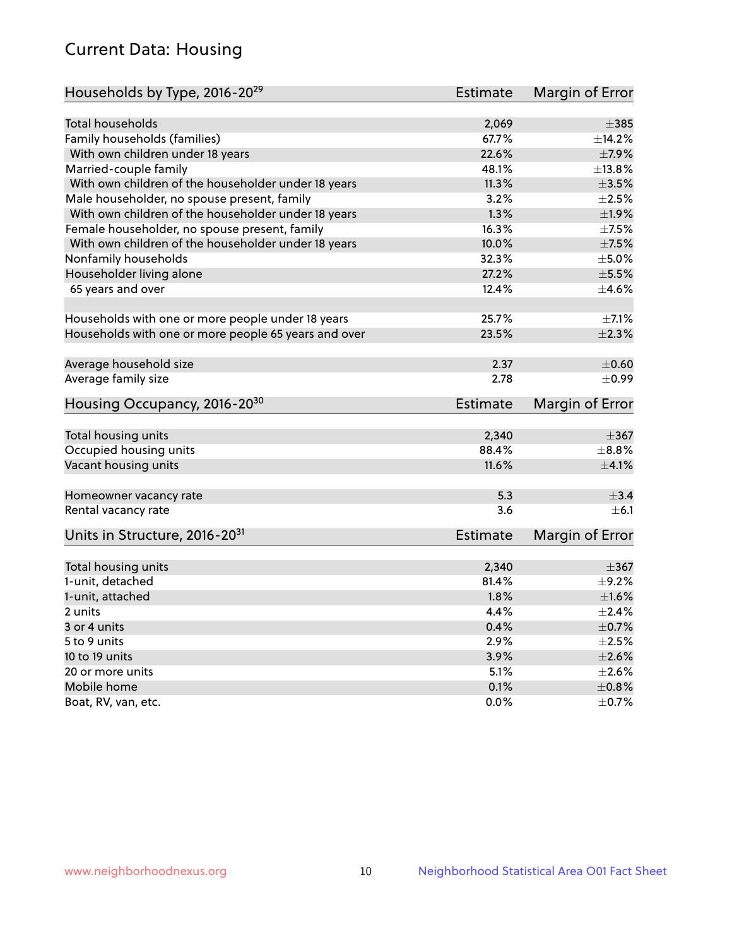# Current Data: Housing

| Households by Type, 2016-20 <sup>29</sup>            | <b>Estimate</b> | Margin of Error |
|------------------------------------------------------|-----------------|-----------------|
|                                                      |                 |                 |
| Total households                                     | 2,069           | $\pm$ 385       |
| Family households (families)                         | 67.7%           | $+14.2%$        |
| With own children under 18 years                     | 22.6%           | $\pm$ 7.9%      |
| Married-couple family                                | 48.1%           | ±13.8%          |
| With own children of the householder under 18 years  | 11.3%           | $\pm 3.5\%$     |
| Male householder, no spouse present, family          | 3.2%            | $\pm 2.5\%$     |
| With own children of the householder under 18 years  | 1.3%            | ±1.9%           |
| Female householder, no spouse present, family        | 16.3%           | $\pm$ 7.5%      |
| With own children of the householder under 18 years  | 10.0%           | $\pm$ 7.5%      |
| Nonfamily households                                 | 32.3%           | $\pm$ 5.0%      |
| Householder living alone                             | 27.2%           | $\pm$ 5.5%      |
| 65 years and over                                    | 12.4%           | $\pm$ 4.6%      |
| Households with one or more people under 18 years    | 25.7%           | $\pm$ 7.1%      |
| Households with one or more people 65 years and over | 23.5%           | $\pm 2.3\%$     |
|                                                      |                 |                 |
| Average household size                               | 2.37            | $\pm$ 0.60      |
| Average family size                                  | 2.78            | $\pm$ 0.99      |
| Housing Occupancy, 2016-20 <sup>30</sup>             | <b>Estimate</b> | Margin of Error |
| Total housing units                                  | 2,340           | $\pm 367$       |
| Occupied housing units                               | 88.4%           | $\pm$ 8.8%      |
| Vacant housing units                                 | 11.6%           | $\pm 4.1\%$     |
|                                                      |                 |                 |
| Homeowner vacancy rate                               | 5.3             | $\pm$ 3.4       |
| Rental vacancy rate                                  | 3.6             | ±6.1            |
| Units in Structure, 2016-20 <sup>31</sup>            | Estimate        | Margin of Error |
| Total housing units                                  | 2,340           | $\pm$ 367       |
| 1-unit, detached                                     | 81.4%           | $\pm$ 9.2%      |
| 1-unit, attached                                     | 1.8%            | $\pm1.6\%$      |
| 2 units                                              | 4.4%            | $\pm 2.4\%$     |
| 3 or 4 units                                         | 0.4%            | $\pm$ 0.7%      |
|                                                      | 2.9%            | $\pm 2.5\%$     |
| 5 to 9 units                                         | 3.9%            | $\pm 2.6\%$     |
| 10 to 19 units                                       |                 |                 |
| 20 or more units                                     | 5.1%            | $\pm 2.6\%$     |
| Mobile home                                          | 0.1%            | $\pm$ 0.8%      |
| Boat, RV, van, etc.                                  | 0.0%            | $\pm$ 0.7%      |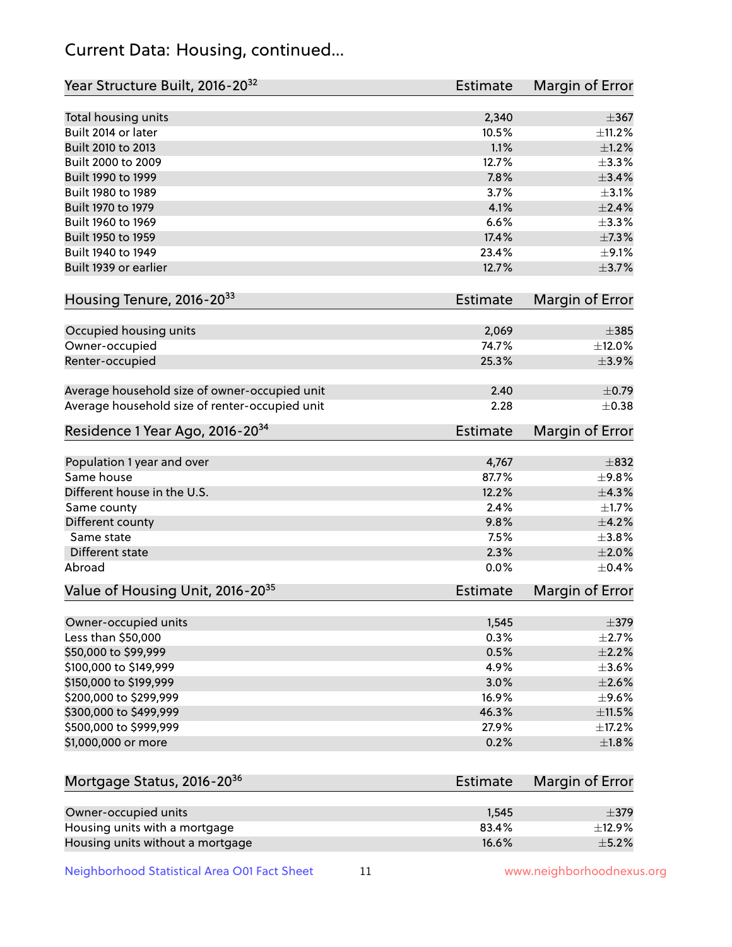# Current Data: Housing, continued...

| Year Structure Built, 2016-20 <sup>32</sup>    | Estimate | Margin of Error |
|------------------------------------------------|----------|-----------------|
| Total housing units                            | 2,340    | $\pm$ 367       |
| Built 2014 or later                            | 10.5%    | $\pm$ 11.2%     |
| Built 2010 to 2013                             | 1.1%     | $\pm 1.2\%$     |
| Built 2000 to 2009                             | 12.7%    | ±3.3%           |
| Built 1990 to 1999                             | 7.8%     | $\pm$ 3.4%      |
| Built 1980 to 1989                             | 3.7%     | $\pm$ 3.1%      |
| Built 1970 to 1979                             | 4.1%     | $\pm 2.4\%$     |
| Built 1960 to 1969                             | 6.6%     | ±3.3%           |
| Built 1950 to 1959                             | 17.4%    | $\pm$ 7.3%      |
| Built 1940 to 1949                             | 23.4%    | $\pm$ 9.1%      |
| Built 1939 or earlier                          | 12.7%    | $\pm$ 3.7%      |
| Housing Tenure, 2016-2033                      | Estimate | Margin of Error |
|                                                |          |                 |
| Occupied housing units                         | 2,069    | $\pm$ 385       |
| Owner-occupied                                 | 74.7%    | $\pm$ 12.0%     |
| Renter-occupied                                | 25.3%    | $\pm$ 3.9%      |
|                                                |          |                 |
| Average household size of owner-occupied unit  | 2.40     | $\pm$ 0.79      |
| Average household size of renter-occupied unit | 2.28     | $\pm$ 0.38      |
| Residence 1 Year Ago, 2016-20 <sup>34</sup>    | Estimate | Margin of Error |
|                                                |          |                 |
| Population 1 year and over                     | 4,767    | $\pm$ 832       |
| Same house                                     | 87.7%    | $\pm$ 9.8%      |
| Different house in the U.S.                    | 12.2%    | ±4.3%           |
| Same county                                    | 2.4%     | $\pm1.7\%$      |
| Different county                               | 9.8%     | $\pm 4.2\%$     |
| Same state                                     | 7.5%     | $\pm 3.8\%$     |
| Different state                                | 2.3%     | $\pm 2.0\%$     |
| Abroad                                         | 0.0%     | $\pm$ 0.4%      |
| Value of Housing Unit, 2016-20 <sup>35</sup>   | Estimate | Margin of Error |
| Owner-occupied units                           | 1,545    | $\pm$ 379       |
| Less than \$50,000                             | 0.3%     | $\pm 2.7\%$     |
| \$50,000 to \$99,999                           | 0.5%     | $\pm 2.2\%$     |
| \$100,000 to \$149,999                         | 4.9%     | $\pm$ 3.6%      |
| \$150,000 to \$199,999                         | 3.0%     | $\pm 2.6\%$     |
| \$200,000 to \$299,999                         | 16.9%    | $\pm$ 9.6%      |
| \$300,000 to \$499,999                         | 46.3%    | ±11.5%          |
| \$500,000 to \$999,999                         | 27.9%    | $\pm$ 17.2%     |
| \$1,000,000 or more                            | 0.2%     | ±1.8%           |
|                                                |          |                 |
| Mortgage Status, 2016-20 <sup>36</sup>         | Estimate | Margin of Error |
|                                                |          |                 |
| Owner-occupied units                           | 1,545    | $\pm$ 379       |
| Housing units with a mortgage                  | 83.4%    | ±12.9%          |
| Housing units without a mortgage               | 16.6%    | $\pm$ 5.2%      |

Neighborhood Statistical Area O01 Fact Sheet 11 11 www.neighborhoodnexus.org

Housing units without a mortgage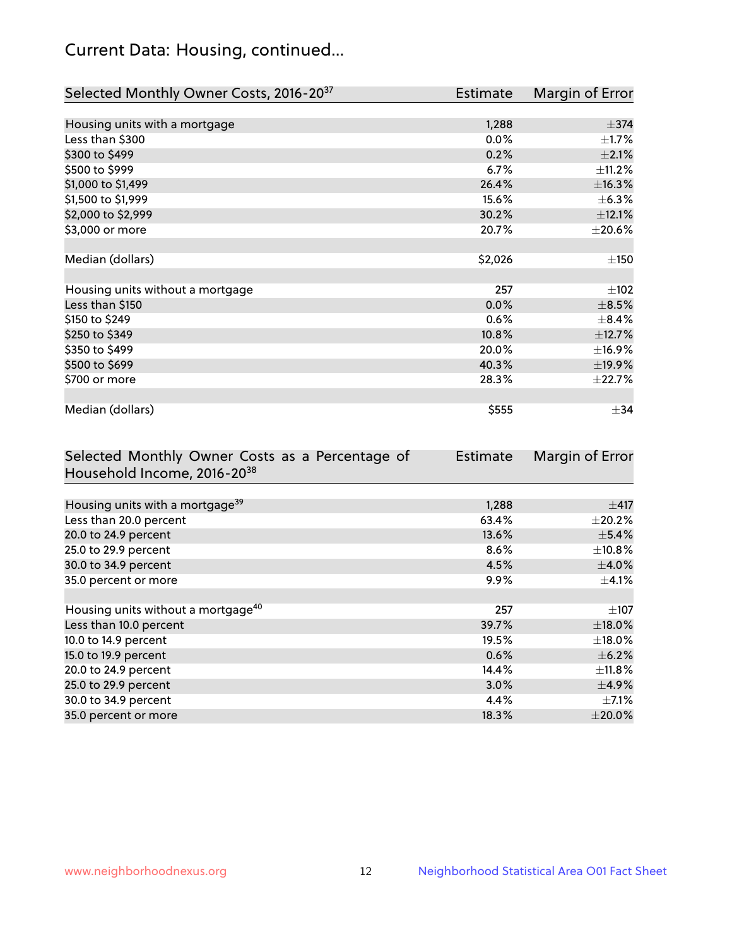# Current Data: Housing, continued...

| Selected Monthly Owner Costs, 2016-20 <sup>37</sup> | <b>Estimate</b> | Margin of Error |
|-----------------------------------------------------|-----------------|-----------------|
|                                                     |                 |                 |
| Housing units with a mortgage                       | 1,288           | $\pm$ 374       |
| Less than \$300                                     | 0.0%            | $\pm$ 1.7%      |
| \$300 to \$499                                      | 0.2%            | $\pm 2.1\%$     |
| \$500 to \$999                                      | 6.7%            | $\pm$ 11.2%     |
| \$1,000 to \$1,499                                  | 26.4%           | ±16.3%          |
| \$1,500 to \$1,999                                  | 15.6%           | $\pm$ 6.3%      |
| \$2,000 to \$2,999                                  | 30.2%           | ±12.1%          |
| \$3,000 or more                                     | 20.7%           | $\pm 20.6\%$    |
|                                                     |                 |                 |
| Median (dollars)                                    | \$2,026         | ±150            |
|                                                     |                 |                 |
| Housing units without a mortgage                    | 257             | $\pm$ 102       |
| Less than \$150                                     | 0.0%            | $\pm$ 8.5%      |
| \$150 to \$249                                      | 0.6%            | $\pm$ 8.4%      |
| \$250 to \$349                                      | 10.8%           | ±12.7%          |
| \$350 to \$499                                      | 20.0%           | ±16.9%          |
| \$500 to \$699                                      | 40.3%           | ±19.9%          |
| \$700 or more                                       | 28.3%           | ±22.7%          |
|                                                     |                 |                 |
| Median (dollars)                                    | \$555           | $\pm$ 34        |

| Selected Monthly Owner Costs as a Percentage of | <b>Estimate</b> | Margin of Error |
|-------------------------------------------------|-----------------|-----------------|
| Household Income, 2016-20 <sup>38</sup>         |                 |                 |
|                                                 |                 |                 |
| Housing units with a mortgage <sup>39</sup>     | 1,288           | $\pm$ 417       |
| Less than 20.0 percent                          | 63.4%           | $\pm 20.2\%$    |
| 20.0 to 24.9 percent                            | 13.6%           | $\pm$ 5.4%      |
| 25.0 to 29.9 percent                            | 8.6%            | $\pm$ 10.8%     |
| 30.0 to 34.9 percent                            | 4.5%            | $\pm$ 4.0%      |
| 35.0 percent or more                            | 9.9%            | $\pm$ 4.1%      |
|                                                 |                 |                 |
| Housing units without a mortgage <sup>40</sup>  | 257             | $\pm 107$       |
| Less than 10.0 percent                          | 39.7%           | $\pm$ 18.0%     |
| 10.0 to 14.9 percent                            | 19.5%           | $\pm$ 18.0%     |
| 15.0 to 19.9 percent                            | 0.6%            | $\pm$ 6.2%      |
| 20.0 to 24.9 percent                            | 14.4%           | $\pm$ 11.8%     |
| 25.0 to 29.9 percent                            | 3.0%            | $\pm$ 4.9%      |
| 30.0 to 34.9 percent                            | 4.4%            | $\pm$ 7.1%      |
| 35.0 percent or more                            | 18.3%           | $\pm 20.0\%$    |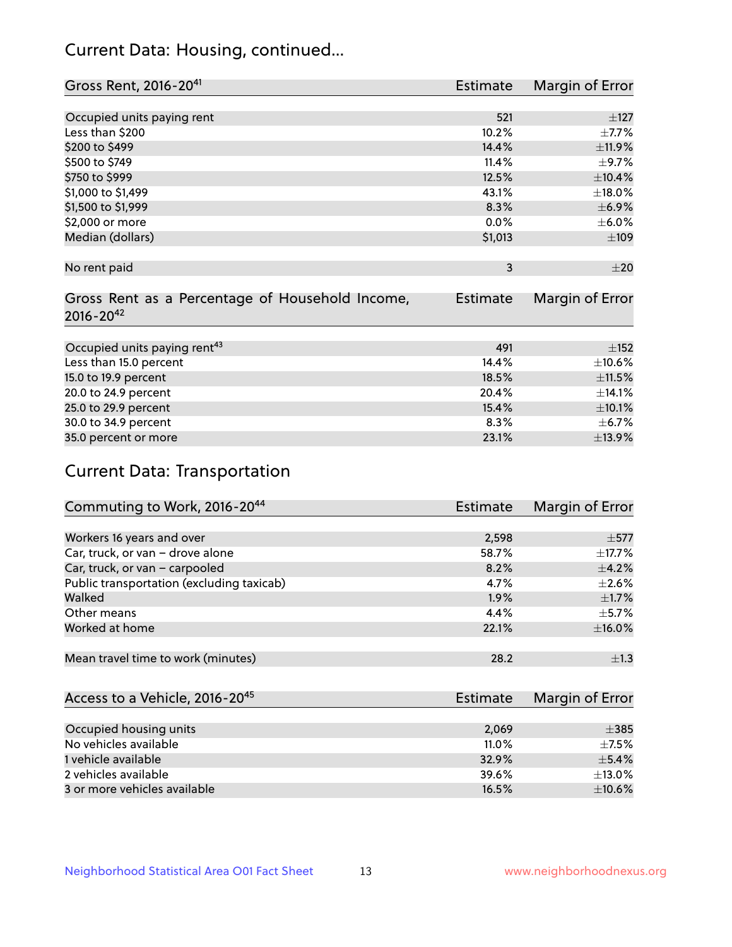# Current Data: Housing, continued...

| Gross Rent, 2016-20 <sup>41</sup>               | Estimate        | Margin of Error |
|-------------------------------------------------|-----------------|-----------------|
|                                                 |                 |                 |
| Occupied units paying rent                      | 521             | ±127            |
| Less than \$200                                 | 10.2%           | $\pm$ 7.7%      |
| \$200 to \$499                                  | 14.4%           | ±11.9%          |
| \$500 to \$749                                  | 11.4%           | $\pm$ 9.7%      |
| \$750 to \$999                                  | 12.5%           | $\pm$ 10.4%     |
| \$1,000 to \$1,499                              | 43.1%           | $\pm$ 18.0%     |
| \$1,500 to \$1,999                              | 8.3%            | $\pm$ 6.9%      |
| \$2,000 or more                                 | 0.0%            | $\pm$ 6.0%      |
| Median (dollars)                                | \$1,013         | $\pm 109$       |
|                                                 |                 |                 |
| No rent paid                                    | 3               | $\pm 20$        |
|                                                 |                 |                 |
| Gross Rent as a Percentage of Household Income, | <b>Estimate</b> | Margin of Error |
| $2016 - 20^{42}$                                |                 |                 |
|                                                 |                 |                 |
| Occupied units paying rent <sup>43</sup>        | 491             | ±152            |
| Less than 15.0 percent                          | 14.4%           | $\pm 10.6\%$    |
| 15.0 to 19.9 percent                            | 18.5%           | $\pm 11.5\%$    |
| 20.0 to 24.9 percent                            | 20.4%           | ±14.1%          |
| 25.0 to 29.9 percent                            | 15.4%           | $\pm 10.1\%$    |
| 30.0 to 34.9 percent                            | 8.3%            | $\pm$ 6.7%      |
| 35.0 percent or more                            | 23.1%           | ±13.9%          |

# Current Data: Transportation

| Commuting to Work, 2016-20 <sup>44</sup>  | Estimate | Margin of Error |
|-------------------------------------------|----------|-----------------|
|                                           |          |                 |
| Workers 16 years and over                 | 2,598    | $\pm$ 577       |
| Car, truck, or van - drove alone          | 58.7%    | $\pm$ 17.7%     |
| Car, truck, or van - carpooled            | 8.2%     | $\pm$ 4.2%      |
| Public transportation (excluding taxicab) | 4.7%     | $\pm 2.6\%$     |
| Walked                                    | 1.9%     | $\pm$ 1.7%      |
| Other means                               | 4.4%     | $\pm$ 5.7%      |
| Worked at home                            | 22.1%    | ±16.0%          |
|                                           |          |                 |
| Mean travel time to work (minutes)        | 28.2     | $\pm 1.3$       |

| Access to a Vehicle, 2016-20 <sup>45</sup> | Estimate | Margin of Error |
|--------------------------------------------|----------|-----------------|
|                                            |          |                 |
| Occupied housing units                     | 2,069    | $\pm$ 385       |
| No vehicles available                      | $11.0\%$ | $+7.5%$         |
| 1 vehicle available                        | 32.9%    | $\pm$ 5.4%      |
| 2 vehicles available                       | 39.6%    | $+13.0%$        |
| 3 or more vehicles available               | 16.5%    | $\pm$ 10.6%     |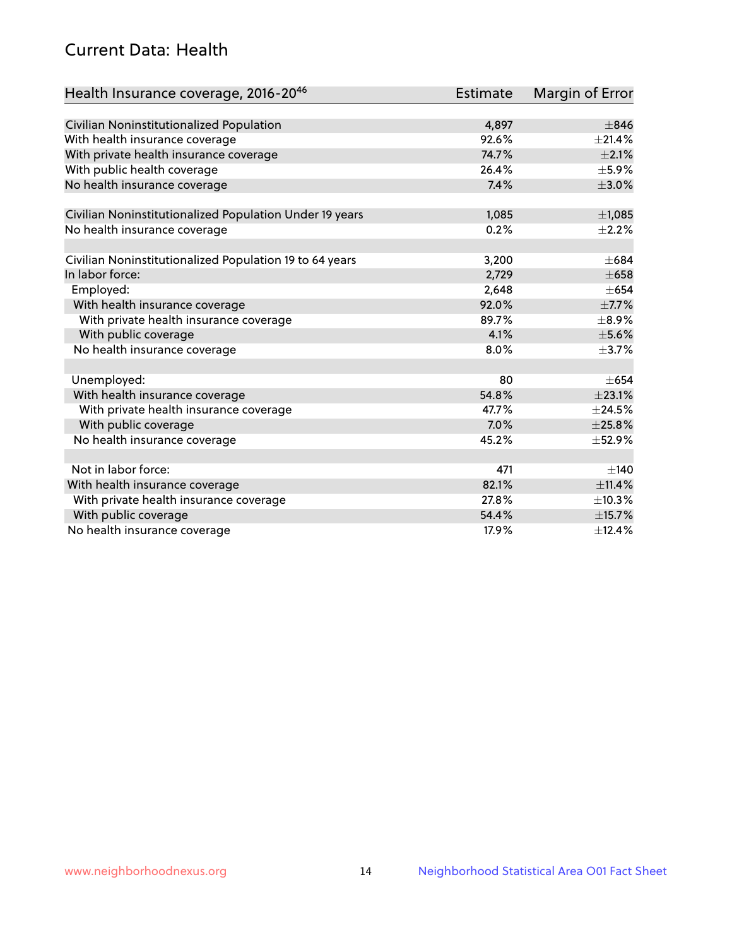# Current Data: Health

| Health Insurance coverage, 2016-2046                    | <b>Estimate</b> | <b>Margin of Error</b> |
|---------------------------------------------------------|-----------------|------------------------|
|                                                         |                 |                        |
| Civilian Noninstitutionalized Population                | 4,897           | $\pm$ 846              |
| With health insurance coverage                          | 92.6%           | $\pm 21.4\%$           |
| With private health insurance coverage                  | 74.7%           | $\pm 2.1\%$            |
| With public health coverage                             | 26.4%           | $\pm$ 5.9%             |
| No health insurance coverage                            | 7.4%            | $\pm 3.0\%$            |
| Civilian Noninstitutionalized Population Under 19 years | 1,085           | $\pm$ 1,085            |
| No health insurance coverage                            | 0.2%            | $\pm 2.2\%$            |
|                                                         |                 |                        |
| Civilian Noninstitutionalized Population 19 to 64 years | 3,200           | $\pm 684$              |
| In labor force:                                         | 2,729           | $\pm 658$              |
| Employed:                                               | 2,648           | $\pm 654$              |
| With health insurance coverage                          | 92.0%           | $\pm$ 7.7%             |
| With private health insurance coverage                  | 89.7%           | $\pm$ 8.9%             |
| With public coverage                                    | 4.1%            | $\pm$ 5.6%             |
| No health insurance coverage                            | 8.0%            | $\pm$ 3.7%             |
|                                                         |                 |                        |
| Unemployed:                                             | 80              | $+654$                 |
| With health insurance coverage                          | 54.8%           | ±23.1%                 |
| With private health insurance coverage                  | 47.7%           | $\pm$ 24.5%            |
| With public coverage                                    | 7.0%            | $\pm 25.8\%$           |
| No health insurance coverage                            | 45.2%           | $\pm$ 52.9%            |
|                                                         |                 |                        |
| Not in labor force:                                     | 471             | ±140                   |
| With health insurance coverage                          | 82.1%           | ±11.4%                 |
| With private health insurance coverage                  | 27.8%           | ±10.3%                 |
| With public coverage                                    | 54.4%           | ±15.7%                 |
| No health insurance coverage                            | 17.9%           | ±12.4%                 |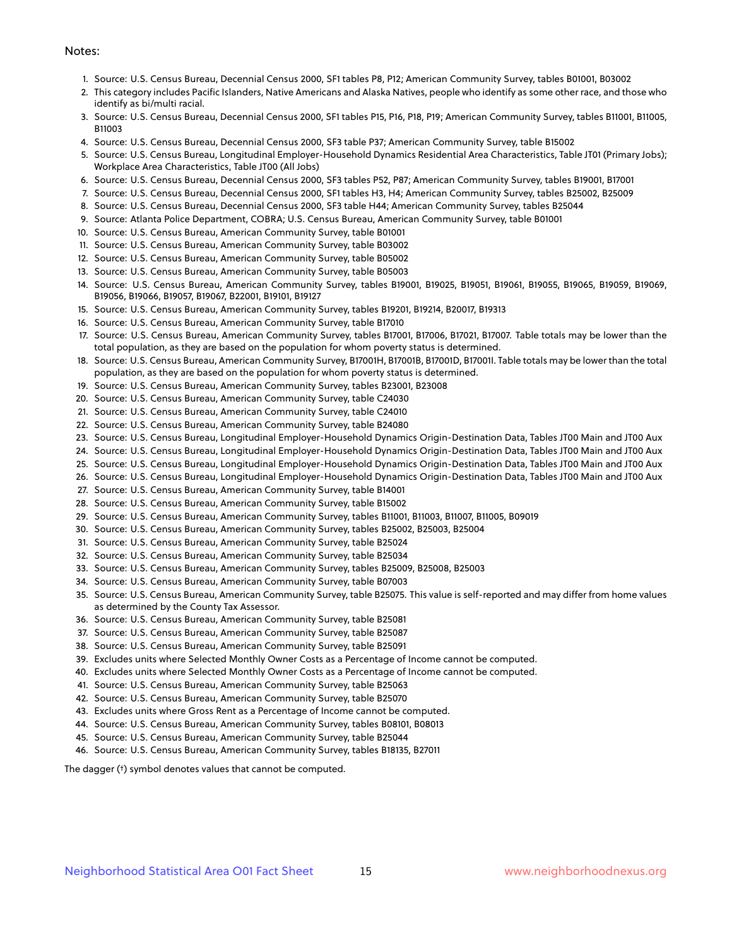#### Notes:

- 1. Source: U.S. Census Bureau, Decennial Census 2000, SF1 tables P8, P12; American Community Survey, tables B01001, B03002
- 2. This category includes Pacific Islanders, Native Americans and Alaska Natives, people who identify as some other race, and those who identify as bi/multi racial.
- 3. Source: U.S. Census Bureau, Decennial Census 2000, SF1 tables P15, P16, P18, P19; American Community Survey, tables B11001, B11005, B11003
- 4. Source: U.S. Census Bureau, Decennial Census 2000, SF3 table P37; American Community Survey, table B15002
- 5. Source: U.S. Census Bureau, Longitudinal Employer-Household Dynamics Residential Area Characteristics, Table JT01 (Primary Jobs); Workplace Area Characteristics, Table JT00 (All Jobs)
- 6. Source: U.S. Census Bureau, Decennial Census 2000, SF3 tables P52, P87; American Community Survey, tables B19001, B17001
- 7. Source: U.S. Census Bureau, Decennial Census 2000, SF1 tables H3, H4; American Community Survey, tables B25002, B25009
- 8. Source: U.S. Census Bureau, Decennial Census 2000, SF3 table H44; American Community Survey, tables B25044
- 9. Source: Atlanta Police Department, COBRA; U.S. Census Bureau, American Community Survey, table B01001
- 10. Source: U.S. Census Bureau, American Community Survey, table B01001
- 11. Source: U.S. Census Bureau, American Community Survey, table B03002
- 12. Source: U.S. Census Bureau, American Community Survey, table B05002
- 13. Source: U.S. Census Bureau, American Community Survey, table B05003
- 14. Source: U.S. Census Bureau, American Community Survey, tables B19001, B19025, B19051, B19061, B19055, B19065, B19059, B19069, B19056, B19066, B19057, B19067, B22001, B19101, B19127
- 15. Source: U.S. Census Bureau, American Community Survey, tables B19201, B19214, B20017, B19313
- 16. Source: U.S. Census Bureau, American Community Survey, table B17010
- 17. Source: U.S. Census Bureau, American Community Survey, tables B17001, B17006, B17021, B17007. Table totals may be lower than the total population, as they are based on the population for whom poverty status is determined.
- 18. Source: U.S. Census Bureau, American Community Survey, B17001H, B17001B, B17001D, B17001I. Table totals may be lower than the total population, as they are based on the population for whom poverty status is determined.
- 19. Source: U.S. Census Bureau, American Community Survey, tables B23001, B23008
- 20. Source: U.S. Census Bureau, American Community Survey, table C24030
- 21. Source: U.S. Census Bureau, American Community Survey, table C24010
- 22. Source: U.S. Census Bureau, American Community Survey, table B24080
- 23. Source: U.S. Census Bureau, Longitudinal Employer-Household Dynamics Origin-Destination Data, Tables JT00 Main and JT00 Aux
- 24. Source: U.S. Census Bureau, Longitudinal Employer-Household Dynamics Origin-Destination Data, Tables JT00 Main and JT00 Aux
- 25. Source: U.S. Census Bureau, Longitudinal Employer-Household Dynamics Origin-Destination Data, Tables JT00 Main and JT00 Aux
- 26. Source: U.S. Census Bureau, Longitudinal Employer-Household Dynamics Origin-Destination Data, Tables JT00 Main and JT00 Aux
- 27. Source: U.S. Census Bureau, American Community Survey, table B14001
- 28. Source: U.S. Census Bureau, American Community Survey, table B15002
- 29. Source: U.S. Census Bureau, American Community Survey, tables B11001, B11003, B11007, B11005, B09019
- 30. Source: U.S. Census Bureau, American Community Survey, tables B25002, B25003, B25004
- 31. Source: U.S. Census Bureau, American Community Survey, table B25024
- 32. Source: U.S. Census Bureau, American Community Survey, table B25034
- 33. Source: U.S. Census Bureau, American Community Survey, tables B25009, B25008, B25003
- 34. Source: U.S. Census Bureau, American Community Survey, table B07003
- 35. Source: U.S. Census Bureau, American Community Survey, table B25075. This value is self-reported and may differ from home values as determined by the County Tax Assessor.
- 36. Source: U.S. Census Bureau, American Community Survey, table B25081
- 37. Source: U.S. Census Bureau, American Community Survey, table B25087
- 38. Source: U.S. Census Bureau, American Community Survey, table B25091
- 39. Excludes units where Selected Monthly Owner Costs as a Percentage of Income cannot be computed.
- 40. Excludes units where Selected Monthly Owner Costs as a Percentage of Income cannot be computed.
- 41. Source: U.S. Census Bureau, American Community Survey, table B25063
- 42. Source: U.S. Census Bureau, American Community Survey, table B25070
- 43. Excludes units where Gross Rent as a Percentage of Income cannot be computed.
- 44. Source: U.S. Census Bureau, American Community Survey, tables B08101, B08013
- 45. Source: U.S. Census Bureau, American Community Survey, table B25044
- 46. Source: U.S. Census Bureau, American Community Survey, tables B18135, B27011

The dagger (†) symbol denotes values that cannot be computed.